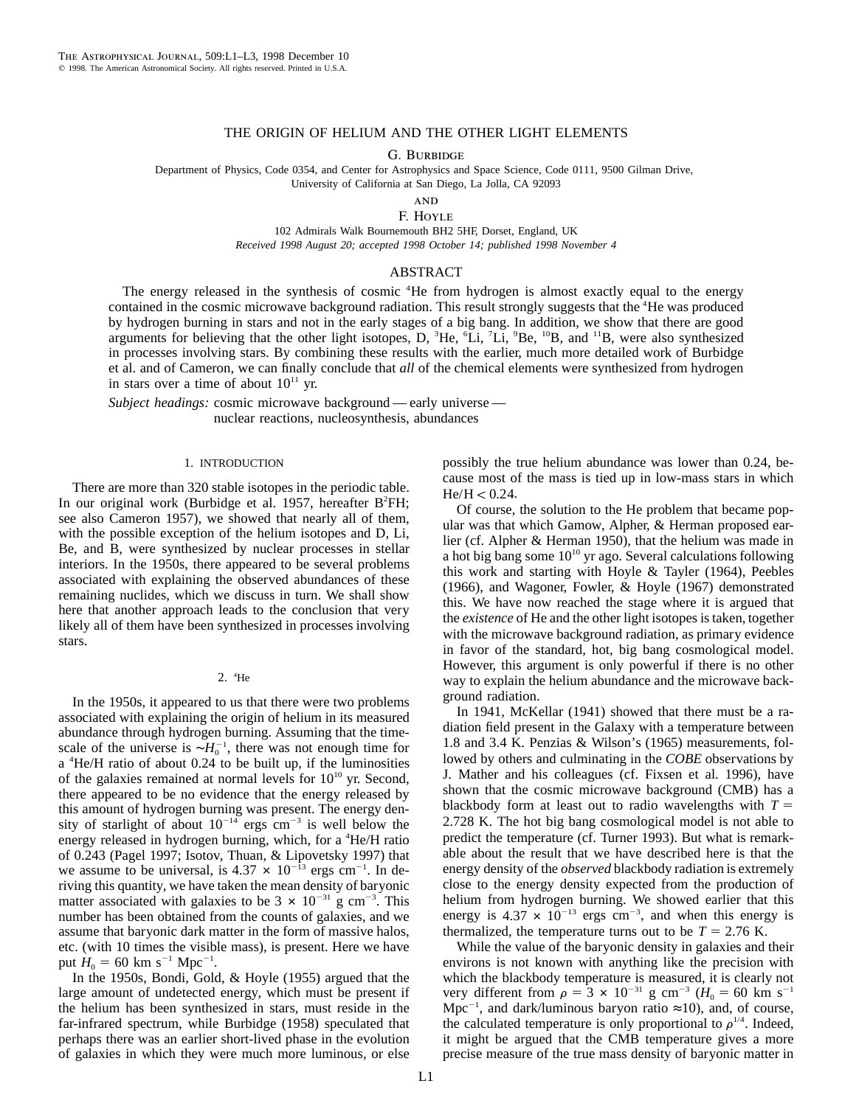# THE ORIGIN OF HELIUM AND THE OTHER LIGHT ELEMENTS

G. BURBIDGE

Department of Physics, Code 0354, and Center for Astrophysics and Space Science, Code 0111, 9500 Gilman Drive,

University of California at San Diego, La Jolla, CA 92093

**AND** F. Hoyle

102 Admirals Walk Bournemouth BH2 5HF, Dorset, England, UK *Received 1998 August 20; accepted 1998 October 14; published 1998 November 4*

### ABSTRACT

The energy released in the synthesis of cosmic <sup>4</sup>He from hydrogen is almost exactly equal to the energy contained in the cosmic microwave background radiation. This result strongly suggests that the <sup>4</sup>He was produced by hydrogen burning in stars and not in the early stages of a big bang. In addition, we show that there are good arguments for believing that the other light isotopes, D, <sup>3</sup>He, <sup>6</sup>Li, <sup>7</sup>Li, <sup>9</sup>Be, <sup>10</sup>B, and <sup>11</sup>B, were also synthesized in processes involving stars. By combining these results with the earlier, much more detailed work of Burbidge et al. and of Cameron, we can finally conclude that *all* of the chemical elements were synthesized from hydrogen in stars over a time of about  $10^{11}$  yr.

*Subject headings:* cosmic microwave background — early universe nuclear reactions, nucleosynthesis, abundances

### 1. INTRODUCTION

There are more than 320 stable isotopes in the periodic table. In our original work (Burbidge et al. 1957, hereafter B<sup>2</sup>FH; see also Cameron 1957), we showed that nearly all of them, with the possible exception of the helium isotopes and D, Li, Be, and B, were synthesized by nuclear processes in stellar interiors. In the 1950s, there appeared to be several problems associated with explaining the observed abundances of these remaining nuclides, which we discuss in turn. We shall show here that another approach leads to the conclusion that very likely all of them have been synthesized in processes involving stars.

### 2. <sup>4</sup> He

In the 1950s, it appeared to us that there were two problems associated with explaining the origin of helium in its measured abundance through hydrogen burning. Assuming that the timescale of the universe is  $\sim H_0^{-1}$ , there was not enough time for a <sup>4</sup>He/H ratio of about 0.24 to be built up, if the luminosities of the galaxies remained at normal levels for  $10^{10}$  yr. Second, there appeared to be no evidence that the energy released by this amount of hydrogen burning was present. The energy density of starlight of about  $10^{-14}$  ergs cm<sup>-3</sup> is well below the energy released in hydrogen burning, which, for a  $^4$ He/H ratio of 0.243 (Pagel 1997; Isotov, Thuan, & Lipovetsky 1997) that we assume to be universal, is  $4.37 \times 10^{-13}$  ergs cm<sup>-1</sup>. In deriving this quantity, we have taken the mean density of baryonic matter associated with galaxies to be  $3 \times 10^{-31}$  g cm<sup>-3</sup>. This number has been obtained from the counts of galaxies, and we assume that baryonic dark matter in the form of massive halos, etc. (with 10 times the visible mass), is present. Here we have put  $H_0 = 60$  km s<sup>-1</sup> Mpc<sup>-1</sup>.

In the 1950s, Bondi, Gold, & Hoyle (1955) argued that the large amount of undetected energy, which must be present if the helium has been synthesized in stars, must reside in the far-infrared spectrum, while Burbidge (1958) speculated that perhaps there was an earlier short-lived phase in the evolution of galaxies in which they were much more luminous, or else

possibly the true helium abundance was lower than 0.24, because most of the mass is tied up in low-mass stars in which  $He/H < 0.24.$ 

Of course, the solution to the He problem that became popular was that which Gamow, Alpher, & Herman proposed earlier (cf. Alpher & Herman 1950), that the helium was made in a hot big bang some  $10^{10}$  yr ago. Several calculations following this work and starting with Hoyle & Tayler (1964), Peebles (1966), and Wagoner, Fowler, & Hoyle (1967) demonstrated this. We have now reached the stage where it is argued that the *existence* of He and the other light isotopes is taken, together with the microwave background radiation, as primary evidence in favor of the standard, hot, big bang cosmological model. However, this argument is only powerful if there is no other way to explain the helium abundance and the microwave background radiation.

In 1941, McKellar (1941) showed that there must be a radiation field present in the Galaxy with a temperature between 1.8 and 3.4 K. Penzias & Wilson's (1965) measurements, followed by others and culminating in the *COBE* observations by J. Mather and his colleagues (cf. Fixsen et al. 1996), have shown that the cosmic microwave background (CMB) has a blackbody form at least out to radio wavelengths with  $T =$ 2.728 K. The hot big bang cosmological model is not able to predict the temperature (cf. Turner 1993). But what is remarkable about the result that we have described here is that the energy density of the *observed* blackbody radiation is extremely close to the energy density expected from the production of helium from hydrogen burning. We showed earlier that this energy is  $4.37 \times 10^{-13}$  ergs cm<sup>-3</sup>, and when this energy is thermalized, the temperature turns out to be  $T = 2.76$  K.

While the value of the baryonic density in galaxies and their environs is not known with anything like the precision with which the blackbody temperature is measured, it is clearly not very different from  $\rho = 3 \times 10^{-31}$  g cm<sup>-3</sup> ( $H_0 = 60$  km s<sup>-1</sup> Mpc<sup>-1</sup>, and dark/luminous baryon ratio  $\approx$ 10), and, of course, the calculated temperature is only proportional to  $\rho^{1/4}$ . Indeed, it might be argued that the CMB temperature gives a more precise measure of the true mass density of baryonic matter in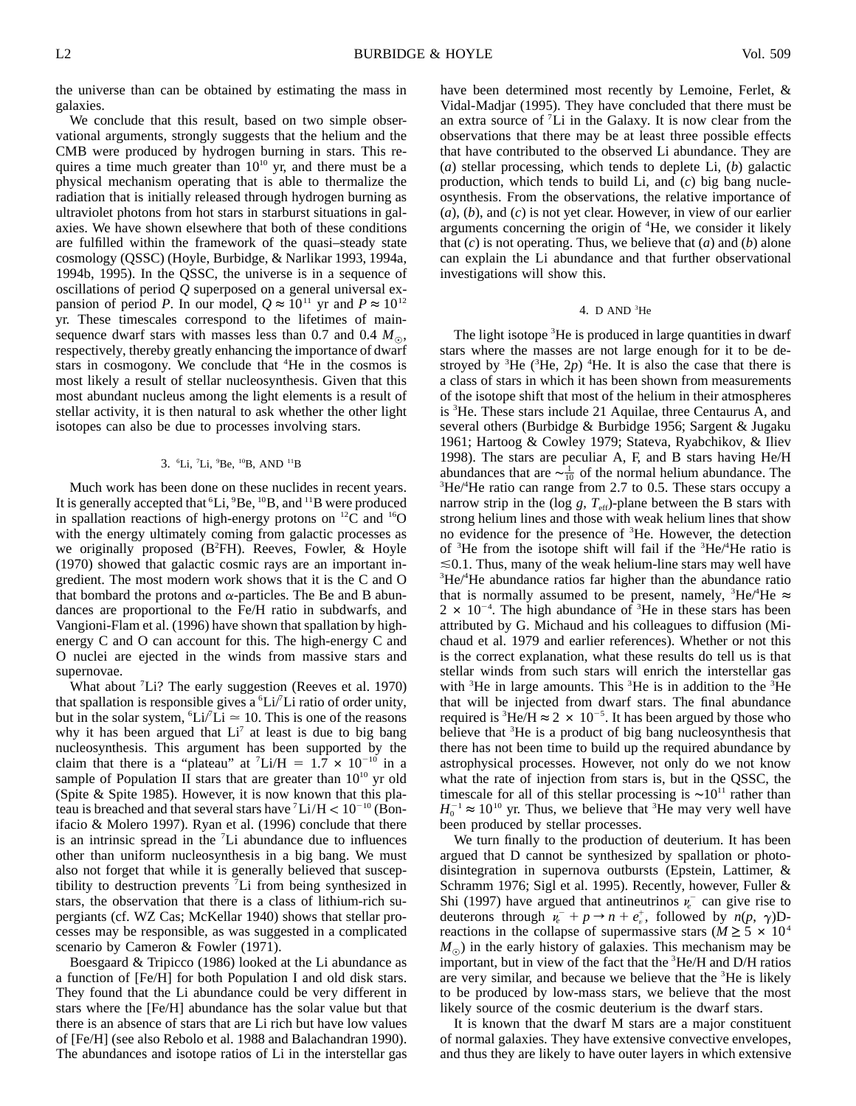the universe than can be obtained by estimating the mass in galaxies.

We conclude that this result, based on two simple observational arguments, strongly suggests that the helium and the CMB were produced by hydrogen burning in stars. This requires a time much greater than  $10^{10}$  yr, and there must be a physical mechanism operating that is able to thermalize the radiation that is initially released through hydrogen burning as ultraviolet photons from hot stars in starburst situations in galaxies. We have shown elsewhere that both of these conditions are fulfilled within the framework of the quasi–steady state cosmology (QSSC) (Hoyle, Burbidge, & Narlikar 1993, 1994a, 1994b, 1995). In the QSSC, the universe is in a sequence of oscillations of period *Q* superposed on a general universal expansion of period *P*. In our model,  $Q \approx 10^{11}$  yr and  $P \approx 10^{12}$ yr. These timescales correspond to the lifetimes of mainsequence dwarf stars with masses less than 0.7 and 0.4  $M_{\odot}$ , respectively, thereby greatly enhancing the importance of dwarf stars in cosmogony. We conclude that <sup>4</sup>He in the cosmos is most likely a result of stellar nucleosynthesis. Given that this most abundant nucleus among the light elements is a result of stellar activity, it is then natural to ask whether the other light isotopes can also be due to processes involving stars.

### 3. <sup>6</sup>Li, <sup>7</sup>Li, <sup>9</sup>Be, <sup>10</sup>B, AND <sup>11</sup>B

Much work has been done on these nuclides in recent years. It is generally accepted that  ${}^6Li$ ,  ${}^9Be$ ,  ${}^{10}B$ , and  ${}^{11}B$  were produced in spallation reactions of high-energy protons on  $^{12}C$  and  $^{16}O$ with the energy ultimately coming from galactic processes as we originally proposed (B<sup>2</sup>FH). Reeves, Fowler, & Hoyle (1970) showed that galactic cosmic rays are an important ingredient. The most modern work shows that it is the C and O that bombard the protons and  $\alpha$ -particles. The Be and B abundances are proportional to the Fe/H ratio in subdwarfs, and Vangioni-Flam et al. (1996) have shown that spallation by highenergy C and O can account for this. The high-energy C and O nuclei are ejected in the winds from massive stars and supernovae.

What about  ${}^{7}Li$ ? The early suggestion (Reeves et al. 1970) that spallation is responsible gives a  ${}^6\text{Li}/{}^7\text{Li}$  ratio of order unity, but in the solar system,  ${}^6Li/Li \approx 10$ . This is one of the reasons why it has been argued that  $Li<sup>7</sup>$  at least is due to big bang nucleosynthesis. This argument has been supported by the claim that there is a "plateau" at  $^7$ Li/H = 1.7  $\times$  10<sup>-10</sup> in a sample of Population II stars that are greater than  $10^{10}$  yr old (Spite & Spite 1985). However, it is now known that this plateau is breached and that several stars have  $\mathrm{Li/H}$  <  $10^{-10}$  (Bonifacio & Molero 1997). Ryan et al. (1996) conclude that there is an intrinsic spread in the  ${}^{7}Li$  abundance due to influences other than uniform nucleosynthesis in a big bang. We must also not forget that while it is generally believed that susceptibility to destruction prevents  $\overline{L}$  from being synthesized in stars, the observation that there is a class of lithium-rich supergiants (cf. WZ Cas; McKellar 1940) shows that stellar processes may be responsible, as was suggested in a complicated scenario by Cameron & Fowler (1971).

Boesgaard & Tripicco (1986) looked at the Li abundance as a function of [Fe/H] for both Population I and old disk stars. They found that the Li abundance could be very different in stars where the [Fe/H] abundance has the solar value but that there is an absence of stars that are Li rich but have low values of [Fe/H] (see also Rebolo et al. 1988 and Balachandran 1990). The abundances and isotope ratios of Li in the interstellar gas have been determined most recently by Lemoine, Ferlet, & Vidal-Madjar (1995). They have concluded that there must be an extra source of  ${}^{7}Li$  in the Galaxy. It is now clear from the observations that there may be at least three possible effects that have contributed to the observed Li abundance. They are (*a*) stellar processing, which tends to deplete Li, (*b*) galactic production, which tends to build Li, and (*c*) big bang nucleosynthesis. From the observations, the relative importance of (*a*), (*b*), and (*c*) is not yet clear. However, in view of our earlier arguments concerning the origin of  ${}^4$ He, we consider it likely that (*c*) is not operating. Thus, we believe that (*a*) and (*b*) alone can explain the Li abundance and that further observational investigations will show this.

### 4. D AND  ${}^{3}$ He

The light isotope  ${}^{3}$ He is produced in large quantities in dwarf stars where the masses are not large enough for it to be destroyed by <sup>3</sup>He ( ${}^{3}$ He,  $2p$ ) <sup>4</sup>He. It is also the case that there is a class of stars in which it has been shown from measurements of the isotope shift that most of the helium in their atmospheres is <sup>3</sup>He. These stars include 21 Aquilae, three Centaurus A, and several others (Burbidge & Burbidge 1956; Sargent & Jugaku 1961; Hartoog & Cowley 1979; Stateva, Ryabchikov, & Iliev 1998). The stars are peculiar A, F, and B stars having He/H abundances that are  $\sim \frac{1}{10}$  of the normal helium abundance. The  ${}^{3}$ He/ ${}^{4}$ He ratio can range from 2.7 to 0.5. These stars occupy a narrow strip in the ( $log\ g$ ,  $T_{\text{eff}}$ )-plane between the B stars with strong helium lines and those with weak helium lines that show no evidence for the presence of <sup>3</sup>He. However, the detection of  ${}^{3}$ He from the isotope shift will fail if the  ${}^{3}$ He/ ${}^{4}$ He ratio is  $\leq 0.1$ . Thus, many of the weak helium-line stars may well have  ${}^3$ He/ ${}^4$ He abundance ratios far higher than the abundance ratio that is normally assumed to be present, namely,  ${}^{3}He/{}^{4}He \approx$  $2 \times 10^{-4}$ . The high abundance of <sup>3</sup>He in these stars has been attributed by G. Michaud and his colleagues to diffusion (Michaud et al. 1979 and earlier references). Whether or not this is the correct explanation, what these results do tell us is that stellar winds from such stars will enrich the interstellar gas with  ${}^{3}$ He in large amounts. This  ${}^{3}$ He is in addition to the  ${}^{3}$ He that will be injected from dwarf stars. The final abundance required is <sup>3</sup>He/H  $\approx$  2  $\times$  10<sup>-5</sup>. It has been argued by those who believe that  ${}^{3}$ He is a product of big bang nucleosynthesis that there has not been time to build up the required abundance by astrophysical processes. However, not only do we not know what the rate of injection from stars is, but in the QSSC, the timescale for all of this stellar processing is  $\sim 10^{11}$  rather than  $H_0^{-1} \approx 10^{10}$  yr. Thus, we believe that <sup>3</sup>He may very well have been produced by stellar processes.

We turn finally to the production of deuterium. It has been argued that D cannot be synthesized by spallation or photodisintegration in supernova outbursts (Epstein, Lattimer, & Schramm 1976; Sigl et al. 1995). Recently, however, Fuller & Shi (1997) have argued that antineutrinos  $\nu_e$ <sup>-</sup> can give rise to deuterons through  $\nu_e + p \rightarrow n + e_n^+$ , followed by  $n(p, \gamma)$ Dreactions in the collapse of supermassive stars ( $M \geq 5 \times 10^4$ )  $M_{\odot}$ ) in the early history of galaxies. This mechanism may be important, but in view of the fact that the  ${}^{3}$ He/H and D/H ratios are very similar, and because we believe that the  ${}^{3}$ He is likely to be produced by low-mass stars, we believe that the most likely source of the cosmic deuterium is the dwarf stars.

It is known that the dwarf M stars are a major constituent of normal galaxies. They have extensive convective envelopes, and thus they are likely to have outer layers in which extensive